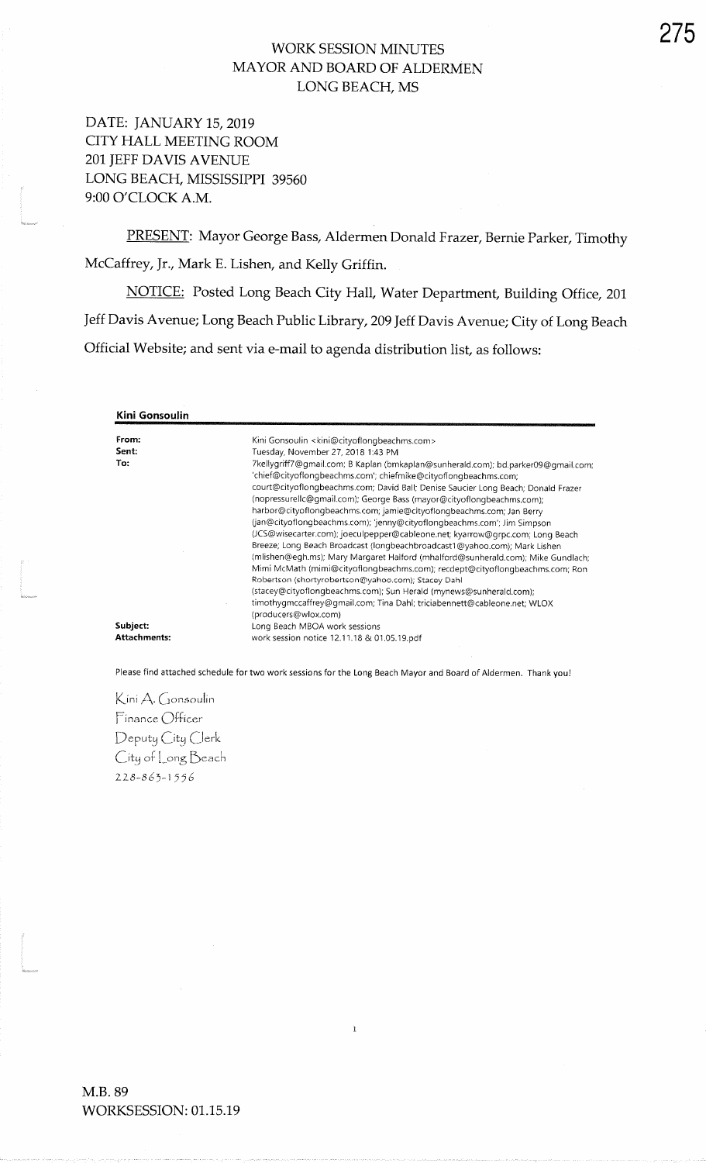## WORK SESSION MINUTES MAYOR AND BOARD OF ALDERMENLONG BEACH, MS

DATE: JANUARY 15, 2019 CITY HALL MEETING ROOM2Ol JEFF DAVIS AVENUELONG BEACH, MISSISSIPPI 39560 9:00 O'CLOCK A.M.

PRESENT: Mayor George Bass, Aldermen Donald Frazer, Bernie Parker, TimothyMcCaffrey, Jr., Mark E. Lishen, and Kelly Griffin.

NOTICE: Posted Long Beach City Hall, Water Department, Building Office, 201 Jeff Davis Avenue; Long Beach Public Library, 209 Jeff Davis Avenue; City of Long Beach Official Website; and sent via e-mail to agenda distribution list, as follows:

| Kini Gonsoulin                  |                                                                                                                                                                                                                                                                                                                                                                                                                                                                                                                                                                                                                                                                                             |
|---------------------------------|---------------------------------------------------------------------------------------------------------------------------------------------------------------------------------------------------------------------------------------------------------------------------------------------------------------------------------------------------------------------------------------------------------------------------------------------------------------------------------------------------------------------------------------------------------------------------------------------------------------------------------------------------------------------------------------------|
| From:<br>Sent:<br>To:           | Kini Gonsoulin <kini@cityoflongbeachms.com><br/>Tuesday, November 27, 2018 1:43 PM<br/>7kellygriff7@gmail.com; B Kaplan (bmkaplan@sunherald.com); bd.parker09@gmail.com;<br/>'chief@cityoflongbeachms.com';            chiefmike@cityoflongbeachms.com;<br/>court@cityoflongbeachms.com; David Ball; Denise Saucier Long Beach; Donald Frazer<br/>(nopressurellc@gmail.com); George Bass (mayor@cityoflongbeachms.com);<br/>harbor@cityoflongbeachms.com; jamie@cityoflongbeachms.com; Jan Berry<br/>(jan@cityoflongbeachms.com); 'jenny@cityoflongbeachms.com'; Jim Simpson<br/>(JCS@wisecarter.com); joeculpepper@cableone.net; kyarrow@grpc.com; Long Beach</kini@cityoflongbeachms.com> |
| Subject:<br><b>Attachments:</b> | Breeze; Long Beach Broadcast (longbeachbroadcast1@yahoo.com); Mark Lishen<br>(mlishen@egh.ms); Mary Margaret Halford (mhalford@sunherald.com); Mike Gundlach;<br>Mimi McMath (mimi@cityoflongbeachms.com); recdept@cityoflongbeachms.com; Ron<br>Robertson (shortyrobertson@yahoo.com); Stacey Dahl<br>(stacey@cityoflongbeachms.com); Sun Herald (mynews@sunherald.com);<br>timothygmccaffrey@gmail.com; Tina Dahl; triciabennett@cableone.net; WLOX<br>(producers@wlox.com)<br>Long Beach MBOA work sessions<br>work session notice 12.11.18 & 01.05.19.pdf                                                                                                                               |

Please find attached schedule for two work sessions for the Long Beach Mayor and Board of Aldermen. Thank you!

 $\mathbf{i}$ 

Kini A. Gonsoulin Finance Officer Deputy City Clerk  $C$ ity of  ${\sf Long}$ Beach  $228 - 863 - 1556$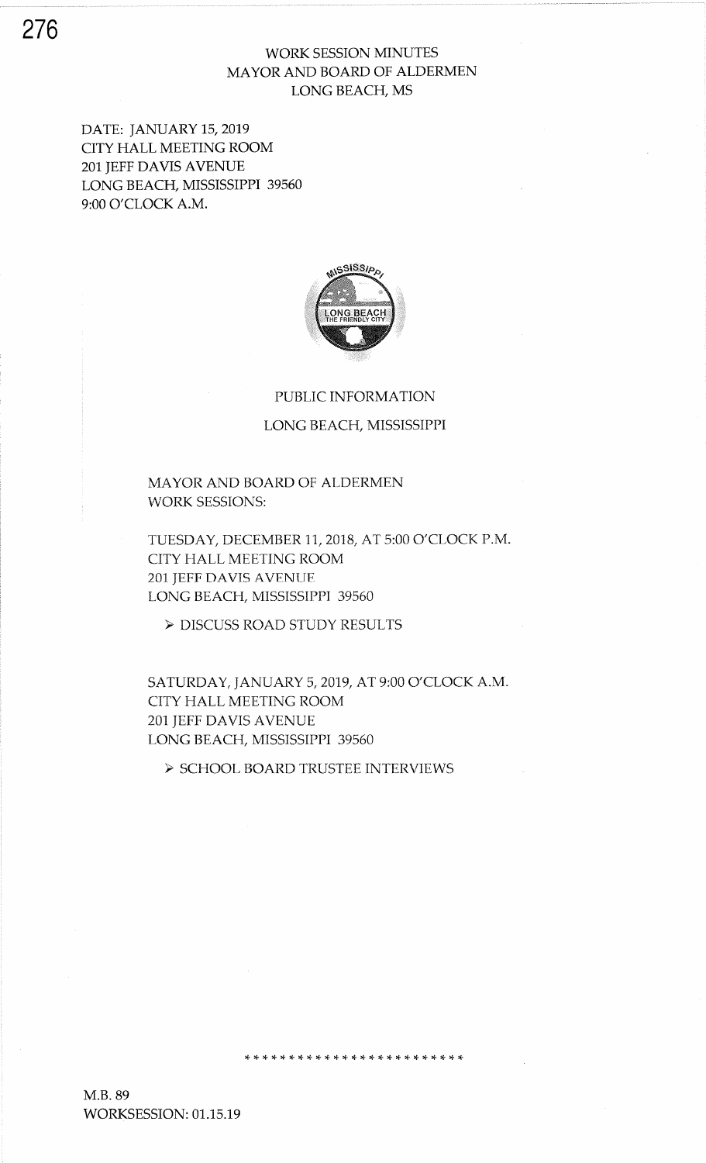## WORK SESSION MINUTES MAYOR AND BOARD OF ALDERMEN LONG BEACH, MS

DATE: JANUARY 15,2019 CITY HALL MEETING ROOM 2Ol JEFF DAVIS AVENUE LONG BEACH, MISSISSIPPI 39560 9:00 O'CLOCK A.M.



## PUBLIC INFORMATION

LONG BEACH, MISSISSIPPI

MAYOR AND BOARD OF ALDERMEN WORK SESSIONS:

TUESDAY, DECEMBER 11, 2018, AT 5:00 O'CLOCK P.M. CITY HALL MEETING ROOM 201 JEFF DAVIS AVENUE LONG BEACH, MISSISSIPPI 39560

> DISCUSS ROAD STUDY RESULTS

SATURDAY, JANUARY 5, 2019, AT 9:00 O'CLOCK A.M. CITY HALL MEETING ROOM 201 JEFF DAVIS AVENUE LONG BEACH, MISSISSIPPI 39560

,t rt rT :|. r+ !t rF rF r+ rF rF rF ra. rF \* rF rF :F :\$ rF \* \* rF \* \*

> SCHOOL BOARD TRUSTEE INTERVIEWS

M.B.89 WORKSESSION: 01.15.19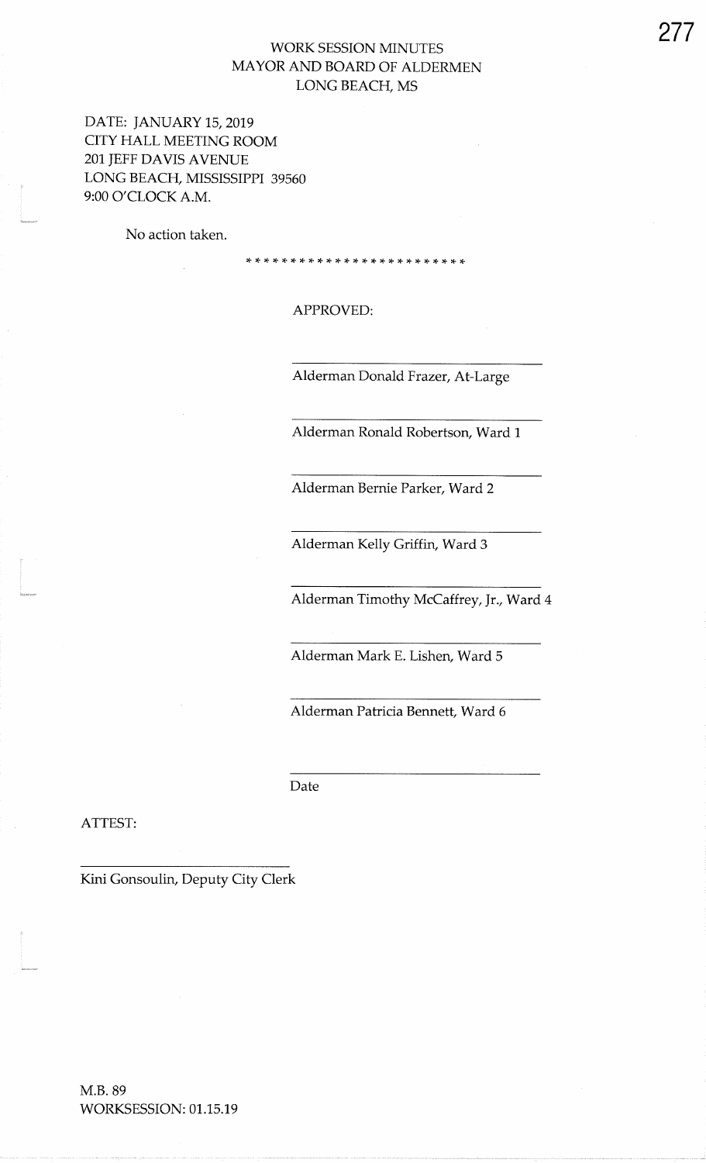## WORK SESSION MINUTES MAYOR AND BOARD OF ALDERMENLONG BEACH, MS

DATE: JANUARY 15, 2019 CITY HALL MEETING ROOM2Ol JEFF DAVIS AVENUELONG BEACH, MISSISSIPPI 39560 9:00 O'CLOCK A.M.

No action taken.

APPROVED

:T,F,F,T \* \*'f 'F,F,F \* :F :F,T,I,F,T \* :F,F'F \*'F,F,F

Alderman Donald Frazer, At-Large

Alderman Ronald Robertson, Ward 1

Alderman Bernie Parker, Ward 2

Alderman Kelly Griffin, Ward 3

Alderman Timothy McCaffrey, Jr., Ward 4

Alderman Mark E. Lishen, Ward 5

Alderman Patricia Bennett, Ward 6

Date

ATTEST:

Kini Gonsoulin, Deputy City Clerk